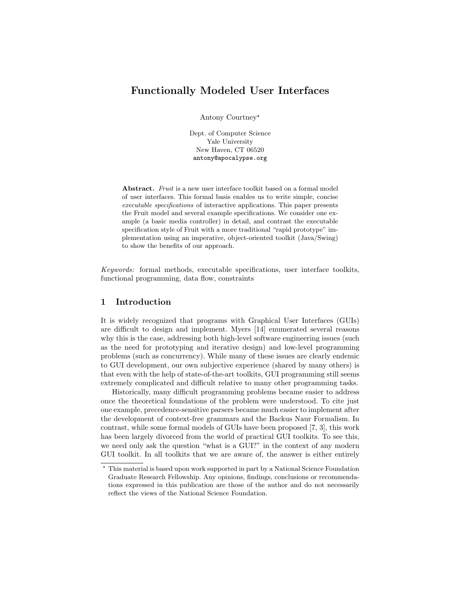# **Functionally Modeled User Interfaces**

Antony Courtney

Dept. of Computer Science Yale University New Haven, CT 06520 antony@apocalypse.org

**Abstract.** *Fruit* is a new user interface toolkit based on a formal model of user interfaces. This formal basis enables us to write simple, concise *executable specifications* of interactive applications. This paper presents the Fruit model and several example specifications. We consider one example (a basic media controller) in detail, and contrast the executable specification style of Fruit with a more traditional "rapid prototype" implementation using an imperative, object-oriented toolkit (Java/Swing) to show the benefits of our approach.

*Keywords:* formal methods, executable specifications, user interface toolkits, functional programming, data flow, constraints

# **1 Introduction**

It is widely recognized that programs with Graphical User Interfaces (GUIs) are difficult to design and implement. Myers [14] enumerated several reasons why this is the case, addressing both high-level software engineering issues (such as the need for prototyping and iterative design) and low-level programming problems (such as concurrency). While many of these issues are clearly endemic to GUI development, our own subjective experience (shared by many others) is that even with the help of state-of-the-art toolkits, GUI programming still seems extremely complicated and difficult relative to many other programming tasks.

Historically, many difficult programming problems became easier to address once the theoretical foundations of the problem were understood. To cite just one example, precedence-sensitive parsers became much easier to implement after the development of context-free grammars and the Backus Naur Formalism. In contrast, while some formal models of GUIs have been proposed [7, 3], this work has been largely divorced from the world of practical GUI toolkits. To see this, we need only ask the question "what is a GUI?" in the context of any modern GUI toolkit. In all toolkits that we are aware of, the answer is either entirely

This material is based upon work supported in part by a National Science Foundation Graduate Research Fellowship. Any opinions, findings, conclusions or recommendations expressed in this publication are those of the author and do not necessarily reflect the views of the National Science Foundation.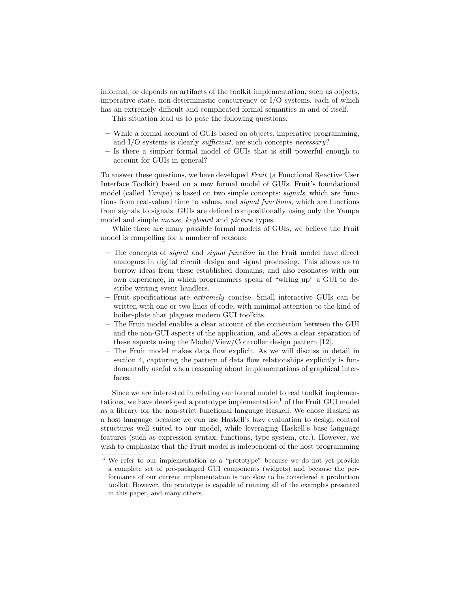informal, or depends on artifacts of the toolkit implementation, such as objects, imperative state, non-deterministic concurrency or I/O systems, each of which has an extremely difficult and complicated formal semantics in and of itself.

This situation lead us to pose the following questions:

- **–** While a formal account of GUIs based on objects, imperative programming, and I/O systems is clearly *sufficient*, are such concepts *necessary*?
- **–** Is there a simpler formal model of GUIs that is still powerful enough to account for GUIs in general?

To answer these questions, we have developed *Fruit* (a Functional Reactive User Interface Toolkit) based on a new formal model of GUIs. Fruit's foundational model (called *Yampa*) is based on two simple concepts: *signals*, which are functions from real-valued time to values, and *signal functions*, which are functions from signals to signals. GUIs are defined compositionally using only the Yampa model and simple *mouse*, *keyboard* and *picture* types.

While there are many possible formal models of GUIs, we believe the Fruit model is compelling for a number of reasons:

- **–** The concepts of *signal* and *signal function* in the Fruit model have direct analogues in digital circuit design and signal processing. This allows us to borrow ideas from these established domains, and also resonates with our own experience, in which programmers speak of "wiring up" a GUI to describe writing event handlers.
- **–** Fruit specifications are *extremely* concise. Small interactive GUIs can be written with one or two lines of code, with minimal attention to the kind of boiler-plate that plagues modern GUI toolkits.
- **–** The Fruit model enables a clear account of the connection between the GUI and the non-GUI aspects of the application, and allows a clear separation of these aspects using the Model/View/Controller design pattern [12].
- **–** The Fruit model makes data flow explicit. As we will discuss in detail in section 4, capturing the pattern of data flow relationships explicitly is fundamentally useful when reasoning about implementations of graphical interfaces.

Since we are interested in relating our formal model to real toolkit implementations, we have developed a prototype implementation<sup>1</sup> of the Fruit GUI model as a library for the non-strict functional language Haskell. We chose Haskell as a host language because we can use Haskell's lazy evaluation to design control structures well suited to our model, while leveraging Haskell's base language features (such as expression syntax, functions, type system, etc.). However, we wish to emphasize that the Fruit model is independent of the host programming

<sup>&</sup>lt;sup>1</sup> We refer to our implementation as a "prototype" because we do not yet provide a complete set of pre-packaged GUI components (widgets) and because the performance of our current implementation is too slow to be considered a production toolkit. However, the prototype is capable of running all of the examples presented in this paper, and many others.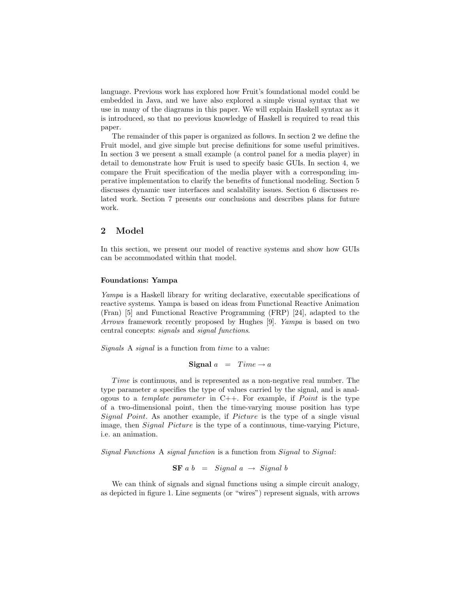language. Previous work has explored how Fruit's foundational model could be embedded in Java, and we have also explored a simple visual syntax that we use in many of the diagrams in this paper. We will explain Haskell syntax as it is introduced, so that no previous knowledge of Haskell is required to read this paper.

The remainder of this paper is organized as follows. In section 2 we define the Fruit model, and give simple but precise definitions for some useful primitives. In section 3 we present a small example (a control panel for a media player) in detail to demonstrate how Fruit is used to specify basic GUIs. In section 4, we compare the Fruit specification of the media player with a corresponding imperative implementation to clarify the benefits of functional modeling. Section 5 discusses dynamic user interfaces and scalability issues. Section 6 discusses related work. Section 7 presents our conclusions and describes plans for future work.

# **2 Model**

In this section, we present our model of reactive systems and show how GUIs can be accommodated within that model.

### **Foundations: Yampa**

*Yampa* is a Haskell library for writing declarative, executable specifications of reactive systems. Yampa is based on ideas from Functional Reactive Animation (Fran) [5] and Functional Reactive Programming (FRP) [24], adapted to the *Arrows* framework recently proposed by Hughes [9]. *Yampa* is based on two central concepts: *signals* and *signal functions*.

*Signals* <sup>A</sup> *signal* is a function from *time* to a value:

**Signal**  $a = Time \rightarrow a$ 

*Time* is continuous, and is represented as a non-negative real number. The type parameter *a* specifies the type of values carried by the signal, and is analogous to a *template parameter* in  $C++$ . For example, if *Point* is the type of a two-dimensional point, then the time-varying mouse position has type *Signal Point.* As another example, if *Picture* is the type of a single visual image, then *Signal Picture* is the type of a continuous, time-varying Picture, i.e. an animation.

*Signal Functions* <sup>A</sup> *signal function* is a function from *Signal* to *Signal*:

**SF**  $a \, b =$  *Signal*  $a \rightarrow$  *Signal*  $b$ 

We can think of signals and signal functions using a simple circuit analogy, as depicted in figure 1. Line segments (or "wires") represent signals, with arrows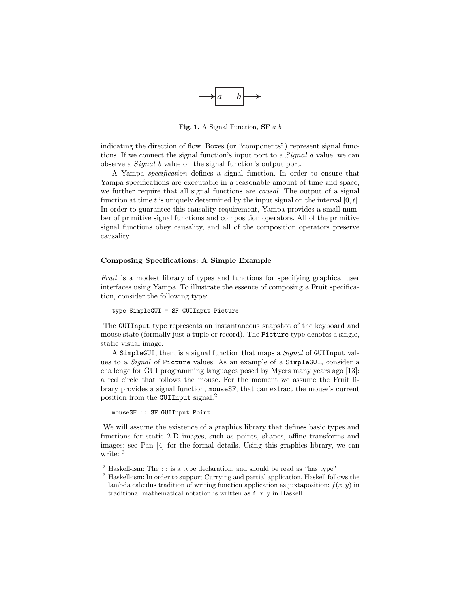

**Fig. 1.** A Signal Function, **SF** *a b*

indicating the direction of flow. Boxes (or "components") represent signal functions. If we connect the signal function's input port to a *Signal a* value, we can observe a *Signal b* value on the signal function's output port.

A Yampa *specification* defines a signal function. In order to ensure that Yampa specifications are executable in a reasonable amount of time and space, we further require that all signal functions are *causal*: The output of a signal function at time *t* is uniquely determined by the input signal on the interval  $[0, t]$ . In order to guarantee this causality requirement, Yampa provides a small number of primitive signal functions and composition operators. All of the primitive signal functions obey causality, and all of the composition operators preserve causality.

### **Composing Specifications: A Simple Example**

*Fruit* is a modest library of types and functions for specifying graphical user interfaces using Yampa. To illustrate the essence of composing a Fruit specification, consider the following type:

### type SimpleGUI = SF GUIInput Picture

The GUIInput type represents an instantaneous snapshot of the keyboard and mouse state (formally just a tuple or record). The Picture type denotes a single, static visual image.

A SimpleGUI, then, is a signal function that maps a *Signal* of GUIInput values to a *Signal* of Picture values. As an example of a SimpleGUI, consider a challenge for GUI programming languages posed by Myers many years ago [13]: a red circle that follows the mouse. For the moment we assume the Fruit library provides a signal function, mouseSF, that can extract the mouse's current position from the GUIInput signal:<sup>2</sup>

mouseSF :: SF GUIInput Point

We will assume the existence of a graphics library that defines basic types and functions for static 2-D images, such as points, shapes, affine transforms and images; see Pan [4] for the formal details. Using this graphics library, we can write: <sup>3</sup>

 $2$  Haskell-ism: The :: is a type declaration, and should be read as "has type"

<sup>&</sup>lt;sup>3</sup> Haskell-ism: In order to support Currying and partial application, Haskell follows the lambda calculus tradition of writing function application as juxtaposition:  $f(x, y)$  in traditional mathematical notation is written as  $f \times y$  in Haskell.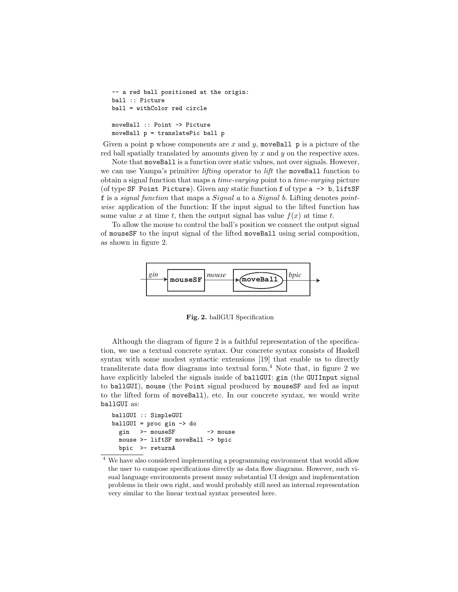```
-- a red ball positioned at the origin:
ball :: Picture
ball = withColor red circle
moveBall :: Point -> Picture
moveBall p = translatePic ball p
```
Given a point **p** whose components are *x* and *y*, moveBall **p** is a picture of the red ball spatially translated by amounts given by *x* and *y* on the respective axes.

Note that moveBall is a function over static values, not over signals. However, we can use Yampa's primitive *lifting* operator to *lift* the moveBall function to obtain a signal function that maps a *time-varying* point to a *time-varying* picture (of type SF Point Picture). Given any static function f of type a -> b, liftSF <sup>f</sup> is a *signal function* that maps a *Signal a* to a *Signal b*. Lifting denotes *pointwise* application of the function: If the input signal to the lifted function has some value x at time t, then the output signal has value  $f(x)$  at time t.

To allow the mouse to control the ball's position we connect the output signal of mouseSF to the input signal of the lifted moveBall using serial composition, as shown in figure 2.



**Fig. 2.** ballGUI Specification

Although the diagram of figure 2 is a faithful representation of the specification, we use a textual concrete syntax. Our concrete syntax consists of Haskell syntax with some modest syntactic extensions [19] that enable us to directly transliterate data flow diagrams into textual form.<sup>4</sup> Note that, in figure 2 we have explicitly labeled the signals inside of ballGUI: gin (the GUIInput signal to ballGUI), mouse (the Point signal produced by mouseSF and fed as input to the lifted form of moveBall), etc. In our concrete syntax, we would write ballGUI as:

```
ballGUI :: SimpleGUI
ballGUI = proc gin -> do
 gin >- mouseSF -> mouse
 mouse >- liftSF moveBall -> bpic
 bpic >- returnA
```
<sup>4</sup> We have also considered implementing a programming environment that would allow the user to compose specifications directly as data flow diagrams. However, such visual language environments present many substantial UI design and implementation problems in their own right, and would probably still need an internal representation very similar to the linear textual syntax presented here.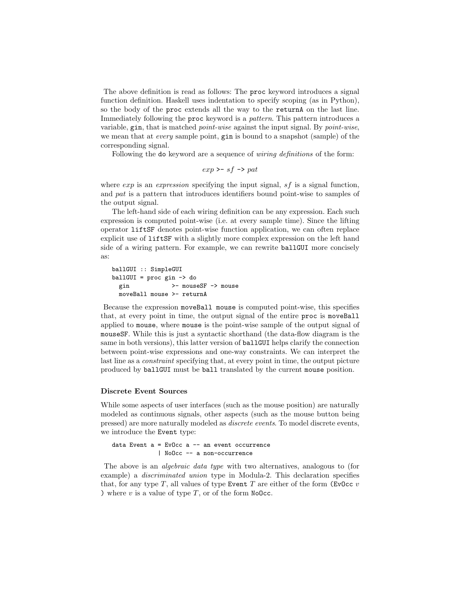The above definition is read as follows: The proc keyword introduces a signal function definition. Haskell uses indentation to specify scoping (as in Python), so the body of the proc extends all the way to the returnA on the last line. Immediately following the proc keyword is a *pattern*. This pattern introduces a variable, gin, that is matched *point-wise* against the input signal. By *point-wise*, we mean that at *every* sample point, gin is bound to a snapshot (sample) of the corresponding signal.

Following the do keyword are a sequence of *wiring definitions* of the form:

$$
exp \gt-fsf \to pat
$$

where *exp* is an *expression* specifying the input signal, *sf* is a signal function, and *pat* is a pattern that introduces identifiers bound point-wise to samples of the output signal.

The left-hand side of each wiring definition can be any expression. Each such expression is computed point-wise (i.e. at every sample time). Since the lifting operator liftSF denotes point-wise function application, we can often replace explicit use of liftSF with a slightly more complex expression on the left hand side of a wiring pattern. For example, we can rewrite ballGUI more concisely as:

```
ballGUI :: SimpleGUI
ballGUI = proc gin -> do
 gin >- mouseSF -> mouse
 moveBall mouse >- returnA
```
Because the expression moveBall mouse is computed point-wise, this specifies that, at every point in time, the output signal of the entire proc is moveBall applied to mouse, where mouse is the point-wise sample of the output signal of mouseSF. While this is just a syntactic shorthand (the data-flow diagram is the same in both versions), this latter version of ballGUI helps clarify the connection between point-wise expressions and one-way constraints. We can interpret the last line as a *constraint* specifying that, at every point in time, the output picture produced by ballGUI must be ball translated by the current mouse position.

#### **Discrete Event Sources**

While some aspects of user interfaces (such as the mouse position) are naturally modeled as continuous signals, other aspects (such as the mouse button being pressed) are more naturally modeled as *discrete events*. To model discrete events, we introduce the Event type:

```
data Event a = Ev0cc a = - an event occurrence
             | NoOcc -- a non-occurrence
```
The above is an *algebraic data type* with two alternatives, analogous to (for example) a *discriminated union* type in Modula-2. This declaration specifies that, for any type  $T$ , all values of type Event  $T$  are either of the form (EvOcc  $v$ ) where  $v$  is a value of type  $T$ , or of the form NoOcc.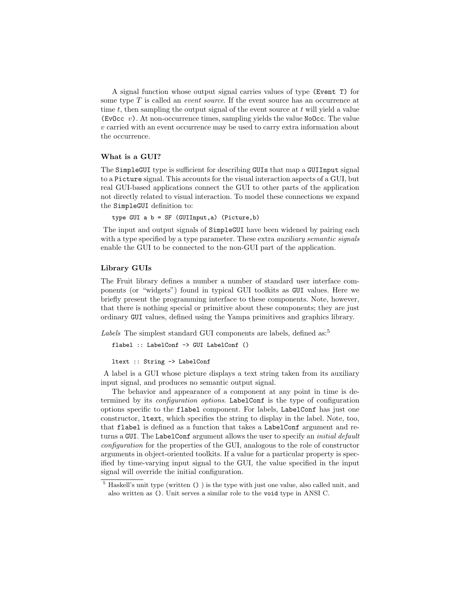A signal function whose output signal carries values of type (Event T) for some type *T* is called an *event source*. If the event source has an occurrence at time *t*, then sampling the output signal of the event source at *t* will yield a value (EvOcc  $v$ ). At non-occurrence times, sampling yields the value NoOcc. The value *v* carried with an event occurrence may be used to carry extra information about the occurrence.

# **What is a GUI?**

The SimpleGUI type is sufficient for describing GUIs that map a GUIInput signal to a Picture signal. This accounts for the visual interaction aspects of a GUI, but real GUI-based applications connect the GUI to other parts of the application not directly related to visual interaction. To model these connections we expand the SimpleGUI definition to:

type GUI a b = SF (GUIInput,a) (Picture,b)

The input and output signals of SimpleGUI have been widened by pairing each with a type specified by a type parameter. These extra *auxiliary semantic signals* enable the GUI to be connected to the non-GUI part of the application.

### **Library GUIs**

The Fruit library defines a number a number of standard user interface components (or "widgets") found in typical GUI toolkits as GUI values. Here we briefly present the programming interface to these components. Note, however, that there is nothing special or primitive about these components; they are just ordinary GUI values, defined using the Yampa primitives and graphics library.

Labels The simplest standard GUI components are labels, defined as:<sup>5</sup>

```
flabel :: LabelConf -> GUI LabelConf ()
```

```
ltext :: String -> LabelConf
```
A label is a GUI whose picture displays a text string taken from its auxiliary input signal, and produces no semantic output signal.

The behavior and appearance of a component at any point in time is determined by its *configuration options*. LabelConf is the type of configuration options specific to the flabel component. For labels, LabelConf has just one constructor, ltext, which specifies the string to display in the label. Note, too, that flabel is defined as a function that takes a LabelConf argument and returns a GUI. The LabelConf argument allows the user to specify an *initial default configuration* for the properties of the GUI, analogous to the role of constructor arguments in object-oriented toolkits. If a value for a particular property is specified by time-varying input signal to the GUI, the value specified in the input signal will override the initial configuration.

 $5$  Haskell's unit type (written ()) is the type with just one value, also called unit, and also written as (). Unit serves a similar role to the void type in ANSI C.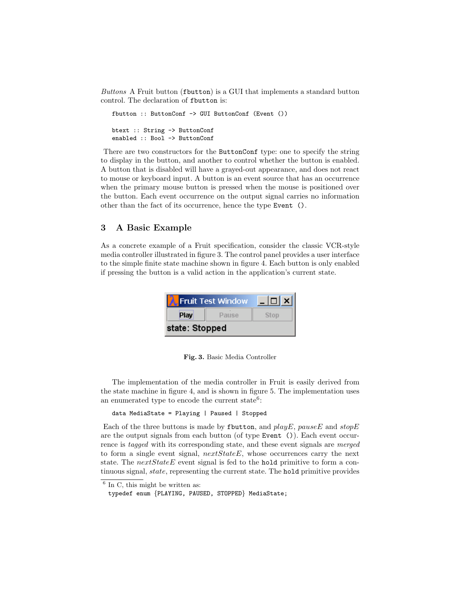*Buttons* A Fruit button (fbutton) is a GUI that implements a standard button control. The declaration of fbutton is:

```
fbutton :: ButtonConf -> GUI ButtonConf (Event ())
btext :: String -> ButtonConf
enabled :: Bool -> ButtonConf
```
There are two constructors for the ButtonConf type: one to specify the string to display in the button, and another to control whether the button is enabled. A button that is disabled will have a grayed-out appearance, and does not react to mouse or keyboard input. A button is an event source that has an occurrence when the primary mouse button is pressed when the mouse is positioned over the button. Each event occurrence on the output signal carries no information other than the fact of its occurrence, hence the type Event ().

# **3 A Basic Example**

As a concrete example of a Fruit specification, consider the classic VCR-style media controller illustrated in figure 3. The control panel provides a user interface to the simple finite state machine shown in figure 4. Each button is only enabled if pressing the button is a valid action in the application's current state.

| <b>A</b> Fruit Test Window |         | $ \Box$ $\times$ $\Box$ |
|----------------------------|---------|-------------------------|
| <b>Play</b>                | - Pause | SIOD                    |
| state: Stopped             |         |                         |

**Fig. 3.** Basic Media Controller

The implementation of the media controller in Fruit is easily derived from the state machine in figure 4, and is shown in figure 5. The implementation uses an enumerated type to encode the current state<sup>6</sup>:

#### data MediaState = Playing | Paused | Stopped

Each of the three buttons is made by fbutton, and *playE*, *pauseE* and *stopE* are the output signals from each button (of type Event ()). Each event occurrence is *tagged* with its corresponding state, and these event signals are *merged* to form a single event signal, *nextStateE*, whose occurrences carry the next state. The *nextStateE* event signal is fed to the hold primitive to form a continuous signal, *state*, representing the current state. The hold primitive provides

 $6$  In C, this might be written as:

typedef enum *{*PLAYING, PAUSED, STOPPED*}* MediaState;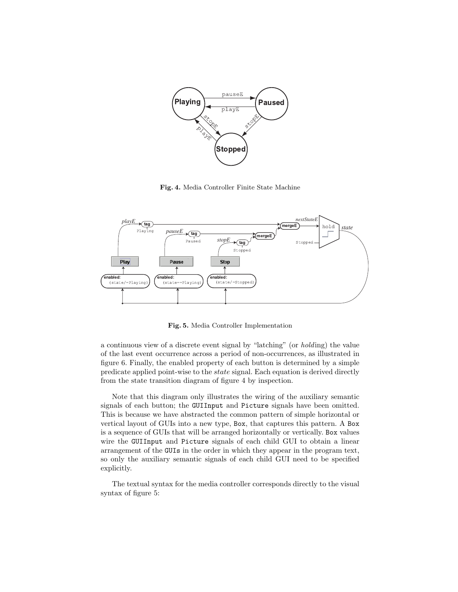

**Fig. 4.** Media Controller Finite State Machine



**Fig. 5.** Media Controller Implementation

a continuous view of a discrete event signal by "latching" (or *hold*ing) the value of the last event occurrence across a period of non-occurrences, as illustrated in figure 6. Finally, the enabled property of each button is determined by a simple predicate applied point-wise to the *state* signal. Each equation is derived directly from the state transition diagram of figure 4 by inspection.

Note that this diagram only illustrates the wiring of the auxiliary semantic signals of each button; the GUIInput and Picture signals have been omitted. This is because we have abstracted the common pattern of simple horizontal or vertical layout of GUIs into a new type, Box, that captures this pattern. A Box is a sequence of GUIs that will be arranged horizontally or vertically. Box values wire the GUIInput and Picture signals of each child GUI to obtain a linear arrangement of the GUIs in the order in which they appear in the program text, so only the auxiliary semantic signals of each child GUI need to be specified explicitly.

The textual syntax for the media controller corresponds directly to the visual syntax of figure 5: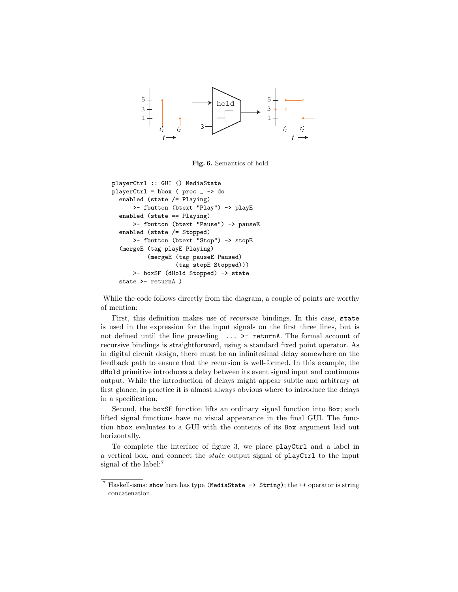

**Fig. 6.** Semantics of hold

```
playerCtrl :: GUI () MediaState
playerCtrl = hbox ( proc _ -> do
  enabled (state /= Playing)
      >- fbutton (btext "Play") -> playE
  enabled (state == Playing)
      >- fbutton (btext "Pause") -> pauseE
  enabled (state /= Stopped)
      >- fbutton (btext "Stop") -> stopE
  (mergeE (tag playE Playing)
          (mergeE (tag pauseE Paused)
                  (tag stopE Stopped)))
      >- boxSF (dHold Stopped) -> state
  state >- returnA )
```
While the code follows directly from the diagram, a couple of points are worthy of mention:

First, this definition makes use of *recursive* bindings. In this case, state is used in the expression for the input signals on the first three lines, but is not defined until the line preceding ... >- returnA. The formal account of recursive bindings is straightforward, using a standard fixed point operator. As in digital circuit design, there must be an infinitesimal delay somewhere on the feedback path to ensure that the recursion is well-formed. In this example, the dHold primitive introduces a delay between its event signal input and continuous output. While the introduction of delays might appear subtle and arbitrary at first glance, in practice it is almost always obvious where to introduce the delays in a specification.

Second, the boxSF function lifts an ordinary signal function into Box; such lifted signal functions have no visual appearance in the final GUI. The function hbox evaluates to a GUI with the contents of its Box argument laid out horizontally.

To complete the interface of figure 3, we place playCtrl and a label in a vertical box, and connect the *state* output signal of playCtrl to the input signal of the label:<sup>7</sup>

<sup>&</sup>lt;sup>7</sup> Haskell-isms: show here has type (MediaState  $\rightarrow$  String); the  $\rightarrow$  operator is string concatenation.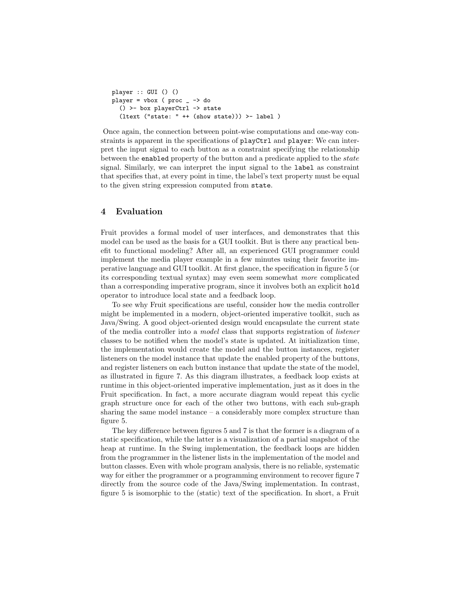```
player :: GUI () ()
player = vbox ( proc _ -> do
  () >- box playerCtrl -> state
  (ltext ("state: " ++ (show state))) >- label )
```
Once again, the connection between point-wise computations and one-way constraints is apparent in the specifications of playCtrl and player: We can interpret the input signal to each button as a constraint specifying the relationship between the enabled property of the button and a predicate applied to the *state* signal. Similarly, we can interpret the input signal to the label as constraint that specifies that, at every point in time, the label's text property must be equal to the given string expression computed from state.

# **4 Evaluation**

Fruit provides a formal model of user interfaces, and demonstrates that this model can be used as the basis for a GUI toolkit. But is there any practical benefit to functional modeling? After all, an experienced GUI programmer could implement the media player example in a few minutes using their favorite imperative language and GUI toolkit. At first glance, the specification in figure 5 (or its corresponding textual syntax) may even seem somewhat *more* complicated than a corresponding imperative program, since it involves both an explicit hold operator to introduce local state and a feedback loop.

To see why Fruit specifications are useful, consider how the media controller might be implemented in a modern, object-oriented imperative toolkit, such as Java/Swing. A good object-oriented design would encapsulate the current state of the media controller into a *model* class that supports registration of *listener* classes to be notified when the model's state is updated. At initialization time, the implementation would create the model and the button instances, register listeners on the model instance that update the enabled property of the buttons, and register listeners on each button instance that update the state of the model, as illustrated in figure 7. As this diagram illustrates, a feedback loop exists at runtime in this object-oriented imperative implementation, just as it does in the Fruit specification. In fact, a more accurate diagram would repeat this cyclic graph structure once for each of the other two buttons, with each sub-graph sharing the same model instance  $-$  a considerably more complex structure than figure 5.

The key difference between figures 5 and 7 is that the former is a diagram of a static specification, while the latter is a visualization of a partial snapshot of the heap at runtime. In the Swing implementation, the feedback loops are hidden from the programmer in the listener lists in the implementation of the model and button classes. Even with whole program analysis, there is no reliable, systematic way for either the programmer or a programming environment to recover figure 7 directly from the source code of the Java/Swing implementation. In contrast, figure 5 is isomorphic to the (static) text of the specification. In short, a Fruit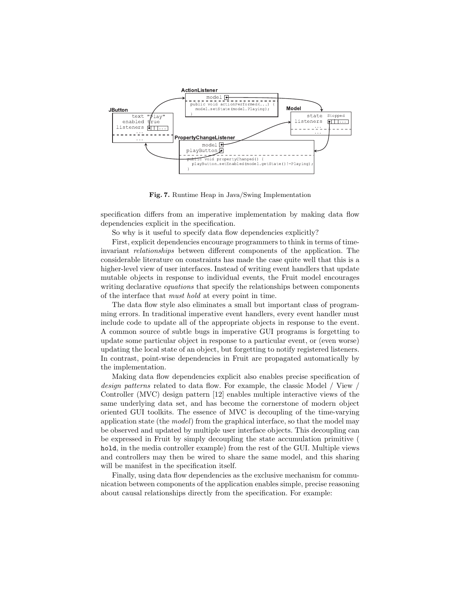

**Fig. 7.** Runtime Heap in Java/Swing Implementation

specification differs from an imperative implementation by making data flow dependencies explicit in the specification.

So why is it useful to specify data flow dependencies explicitly?

First, explicit dependencies encourage programmers to think in terms of timeinvariant *relationships* between different components of the application. The considerable literature on constraints has made the case quite well that this is a higher-level view of user interfaces. Instead of writing event handlers that update mutable objects in response to individual events, the Fruit model encourages writing declarative *equations* that specify the relationships between components of the interface that *must hold* at every point in time.

The data flow style also eliminates a small but important class of programming errors. In traditional imperative event handlers, every event handler must include code to update all of the appropriate objects in response to the event. A common source of subtle bugs in imperative GUI programs is forgetting to update some particular object in response to a particular event, or (even worse) updating the local state of an object, but forgetting to notify registered listeners. In contrast, point-wise dependencies in Fruit are propagated automatically by the implementation.

Making data flow dependencies explicit also enables precise specification of *design patterns* related to data flow. For example, the classic Model / View / Controller (MVC) design pattern [12] enables multiple interactive views of the same underlying data set, and has become the cornerstone of modern object oriented GUI toolkits. The essence of MVC is decoupling of the time-varying application state (the *model*) from the graphical interface, so that the model may be observed and updated by multiple user interface objects. This decoupling can be expressed in Fruit by simply decoupling the state accumulation primitive ( hold, in the media controller example) from the rest of the GUI. Multiple views and controllers may then be wired to share the same model, and this sharing will be manifest in the specification itself.

Finally, using data flow dependencies as the exclusive mechanism for communication between components of the application enables simple, precise reasoning about causal relationships directly from the specification. For example: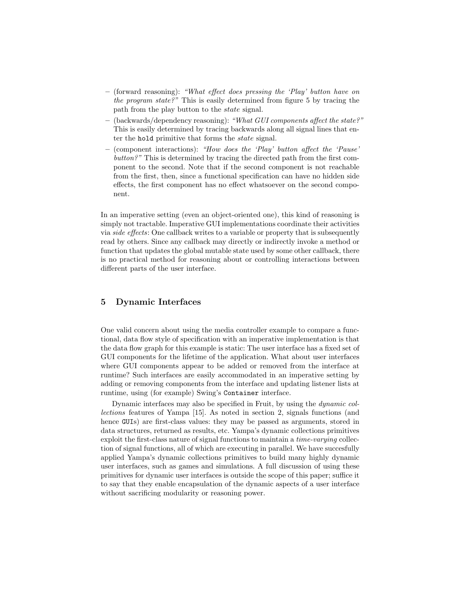- **–** (forward reasoning): *"What effect does pressing the 'Play' button have on the program state?"* This is easily determined from figure 5 by tracing the path from the play button to the *state* signal.
- **–** (backwards/dependency reasoning): *"What GUI components affect the state?"* This is easily determined by tracing backwards along all signal lines that enter the hold primitive that forms the *state* signal.
- **–** (component interactions): *"How does the 'Play' button affect the 'Pause' button?"* This is determined by tracing the directed path from the first component to the second. Note that if the second component is not reachable from the first, then, since a functional specification can have no hidden side effects, the first component has no effect whatsoever on the second component.

In an imperative setting (even an object-oriented one), this kind of reasoning is simply not tractable. Imperative GUI implementations coordinate their activities via *side effects*: One callback writes to a variable or property that is subsequently read by others. Since any callback may directly or indirectly invoke a method or function that updates the global mutable state used by some other callback, there is no practical method for reasoning about or controlling interactions between different parts of the user interface.

# **5 Dynamic Interfaces**

One valid concern about using the media controller example to compare a functional, data flow style of specification with an imperative implementation is that the data flow graph for this example is static: The user interface has a fixed set of GUI components for the lifetime of the application. What about user interfaces where GUI components appear to be added or removed from the interface at runtime? Such interfaces are easily accommodated in an imperative setting by adding or removing components from the interface and updating listener lists at runtime, using (for example) Swing's Container interface.

Dynamic interfaces may also be specified in Fruit, by using the *dynamic collections* features of Yampa [15]. As noted in section 2, signals functions (and hence GUIs) are first-class values: they may be passed as arguments, stored in data structures, returned as results, etc. Yampa's dynamic collections primitives exploit the first-class nature of signal functions to maintain a *time-varying* collection of signal functions, all of which are executing in parallel. We have succesfully applied Yampa's dynamic collections primitives to build many highly dynamic user interfaces, such as games and simulations. A full discussion of using these primitives for dynamic user interfaces is outside the scope of this paper; suffice it to say that they enable encapsulation of the dynamic aspects of a user interface without sacrificing modularity or reasoning power.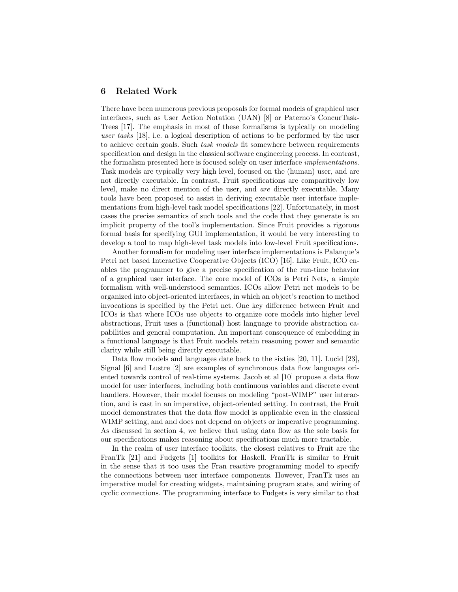### **6 Related Work**

There have been numerous previous proposals for formal models of graphical user interfaces, such as User Action Notation (UAN) [8] or Paterno's ConcurTask-Trees [17]. The emphasis in most of these formalisms is typically on modeling *user tasks* [18], i.e. a logical description of actions to be performed by the user to achieve certain goals. Such *task models* fit somewhere between requirements specification and design in the classical software engineering process. In contrast, the formalism presented here is focused solely on user interface *implementations*. Task models are typically very high level, focused on the (human) user, and are not directly executable. In contrast, Fruit specifications are comparitively low level, make no direct mention of the user, and *are* directly executable. Many tools have been proposed to assist in deriving executable user interface implementations from high-level task model specifications [22]. Unfortunately, in most cases the precise semantics of such tools and the code that they generate is an implicit property of the tool's implementation. Since Fruit provides a rigorous formal basis for specifying GUI implementation, it would be very interesting to develop a tool to map high-level task models into low-level Fruit specifications.

Another formalism for modeling user interface implementations is Palanque's Petri net based Interactive Cooperative Objects (ICO) [16]. Like Fruit, ICO enables the programmer to give a precise specification of the run-time behavior of a graphical user interface. The core model of ICOs is Petri Nets, a simple formalism with well-understood semantics. ICOs allow Petri net models to be organized into object-oriented interfaces, in which an object's reaction to method invocations is specified by the Petri net. One key difference between Fruit and ICOs is that where ICOs use objects to organize core models into higher level abstractions, Fruit uses a (functional) host language to provide abstraction capabilities and general computation. An important consequence of embedding in a functional language is that Fruit models retain reasoning power and semantic clarity while still being directly executable.

Data flow models and languages date back to the sixties [20, 11]. Lucid [23], Signal [6] and Lustre [2] are examples of synchronous data flow languages oriented towards control of real-time systems. Jacob et al [10] propose a data flow model for user interfaces, including both continuous variables and discrete event handlers. However, their model focuses on modeling "post-WIMP" user interaction, and is cast in an imperative, object-oriented setting. In contrast, the Fruit model demonstrates that the data flow model is applicable even in the classical WIMP setting, and and does not depend on objects or imperative programming. As discussed in section 4, we believe that using data flow as the sole basis for our specifications makes reasoning about specifications much more tractable.

In the realm of user interface toolkits, the closest relatives to Fruit are the FranTk [21] and Fudgets [1] toolkits for Haskell. FranTk is similar to Fruit in the sense that it too uses the Fran reactive programming model to specify the connections between user interface components. However, FranTk uses an imperative model for creating widgets, maintaining program state, and wiring of cyclic connections. The programming interface to Fudgets is very similar to that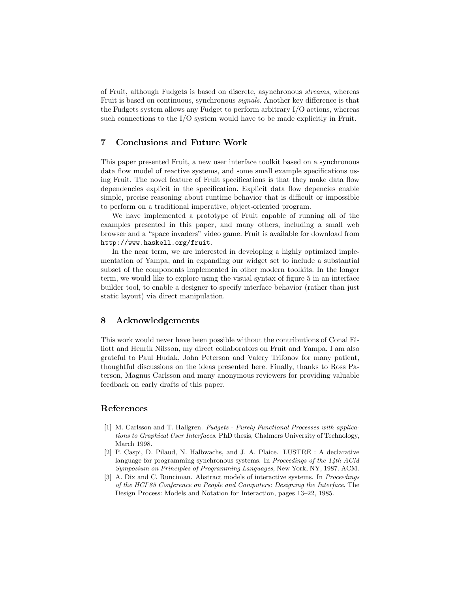of Fruit, although Fudgets is based on discrete, asynchronous *streams*, whereas Fruit is based on continuous, synchronous *signals*. Another key difference is that the Fudgets system allows any Fudget to perform arbitrary I/O actions, whereas such connections to the I/O system would have to be made explicitly in Fruit.

# **7 Conclusions and Future Work**

This paper presented Fruit, a new user interface toolkit based on a synchronous data flow model of reactive systems, and some small example specifications using Fruit. The novel feature of Fruit specifications is that they make data flow dependencies explicit in the specification. Explicit data flow depencies enable simple, precise reasoning about runtime behavior that is difficult or impossible to perform on a traditional imperative, object-oriented program.

We have implemented a prototype of Fruit capable of running all of the examples presented in this paper, and many others, including a small web browser and a "space invaders" video game. Fruit is available for download from http://www.haskell.org/fruit.

In the near term, we are interested in developing a highly optimized implementation of Yampa, and in expanding our widget set to include a substantial subset of the components implemented in other modern toolkits. In the longer term, we would like to explore using the visual syntax of figure 5 in an interface builder tool, to enable a designer to specify interface behavior (rather than just static layout) via direct manipulation.

# **8 Acknowledgements**

This work would never have been possible without the contributions of Conal Elliott and Henrik Nilsson, my direct collaborators on Fruit and Yampa. I am also grateful to Paul Hudak, John Peterson and Valery Trifonov for many patient, thoughtful discussions on the ideas presented here. Finally, thanks to Ross Paterson, Magnus Carlsson and many anonymous reviewers for providing valuable feedback on early drafts of this paper.

# **References**

- [1] M. Carlsson and T. Hallgren. *Fudgets Purely Functional Processes with applications to Graphical User Interfaces*. PhD thesis, Chalmers University of Technology, March 1998.
- [2] P. Caspi, D. Pilaud, N. Halbwachs, and J. A. Plaice. LUSTRE : A declarative language for programming synchronous systems. In *Proceedings of the 14th ACM Symposium on Principles of Programming Languages*, New York, NY, 1987. ACM.
- [3] A. Dix and C. Runciman. Abstract models of interactive systems. In *Proceedings of the HCI'85 Conference on People and Computers: Designing the Interface*, The Design Process: Models and Notation for Interaction, pages 13–22, 1985.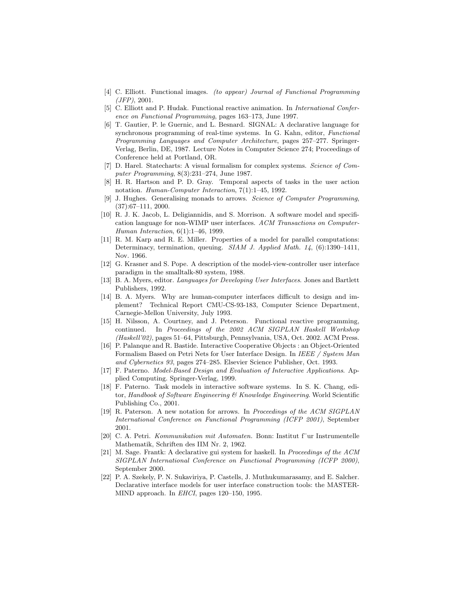- [4] C. Elliott. Functional images. *(to appear) Journal of Functional Programming (JFP)*, 2001.
- [5] C. Elliott and P. Hudak. Functional reactive animation. In *International Conference on Functional Programming*, pages 163–173, June 1997.
- [6] T. Gautier, P. le Guernic, and L. Besnard. SIGNAL: A declarative language for synchronous programming of real-time systems. In G. Kahn, editor, *Functional Programming Languages and Computer Architecture*, pages 257–277. Springer-Verlag, Berlin, DE, 1987. Lecture Notes in Computer Science 274; Proceedings of Conference held at Portland, OR.
- [7] D. Harel. Statecharts: A visual formalism for complex systems. *Science of Computer Programming*, 8(3):231–274, June 1987.
- [8] H. R. Hartson and P. D. Gray. Temporal aspects of tasks in the user action notation. *Human-Computer Interaction*, 7(1):1–45, 1992.
- [9] J. Hughes. Generalising monads to arrows. *Science of Computer Programming*, (37):67–111, 2000.
- [10] R. J. K. Jacob, L. Deligiannidis, and S. Morrison. A software model and specification language for non-WIMP user interfaces. *ACM Transactions on Computer-Human Interaction*, 6(1):1–46, 1999.
- [11] R. M. Karp and R. E. Miller. Properties of a model for parallel computations: Determinacy, termination, queuing. *SIAM J. Applied Math. 14*, (6):1390–1411, Nov. 1966.
- [12] G. Krasner and S. Pope. A description of the model-view-controller user interface paradigm in the smalltalk-80 system, 1988.
- [13] B. A. Myers, editor. *Languages for Developing User Interfaces*. Jones and Bartlett Publishers, 1992.
- [14] B. A. Myers. Why are human-computer interfaces difficult to design and implement? Technical Report CMU-CS-93-183, Computer Science Department, Carnegie-Mellon University, July 1993.
- [15] H. Nilsson, A. Courtney, and J. Peterson. Functional reactive programming, continued. In *Proceedings of the 2002 ACM SIGPLAN Haskell Workshop (Haskell'02)*, pages 51–64, Pittsburgh, Pennsylvania, USA, Oct. 2002. ACM Press.
- [16] P. Palanque and R. Bastide. Interactive Cooperative Objects : an Object-Oriented Formalism Based on Petri Nets for User Interface Design. In *IEEE / System Man and Cybernetics 93*, pages 274–285. Elsevier Science Publisher, Oct. 1993.
- [17] F. Paterno. *Model-Based Design and Evaluation of Interactive Applications*. Applied Computing. Springer-Verlag, 1999.
- [18] F. Paterno. Task models in interactive software systems. In S. K. Chang, editor, *Handbook of Software Engineering & Knowledge Engineering*. World Scientific Publishing Co., 2001.
- [19] R. Paterson. A new notation for arrows. In *Proceedings of the ACM SIGPLAN International Conference on Functional Programming (ICFP 2001)*, September 2001.
- [20] C. A. Petri. *Kommunikation mit Automaten.* Bonn: Institut f¨ur Instrumentelle Mathematik, Schriften des IIM Nr. 2, 1962.
- [21] M. Sage. Frantk: A declarative gui system for haskell. In *Proceedings of the ACM SIGPLAN International Conference on Functional Programming (ICFP 2000)*, September 2000.
- [22] P. A. Szekely, P. N. Sukaviriya, P. Castells, J. Muthukumarasamy, and E. Salcher. Declarative interface models for user interface construction tools: the MASTER-MIND approach. In *EHCI*, pages 120–150, 1995.